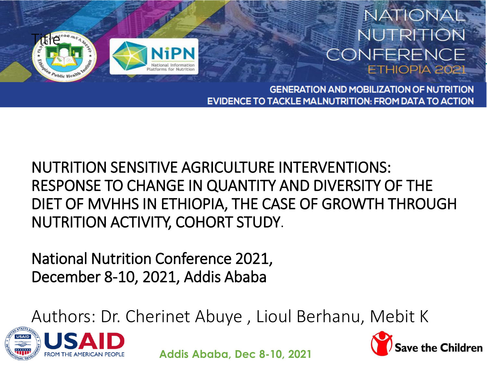

#### NATIONAL NUTRITION CONFERENCE **ETHIOPIA 202**

**GENERATION AND MOBILIZATION OF NUTRITION EVIDENCE TO TACKLE MALNUTRITION: FROM DATA TO ACTION** 

NUTRITION SENSITIVE AGRICULTURE INTERVENTIONS: RESPONSE TO CHANGE IN QUANTITY AND DIVERSITY OF THE DIET OF MVHHS IN ETHIOPIA, THE CASE OF GROWTH THROUGH NUTRITION ACTIVITY, COHORT STUDY.

National Nutrition Conference 2021, December 8-10, 2021, Addis Ababa

Authors: Dr. Cherinet Abuye , Lioul Berhanu, Mebit K



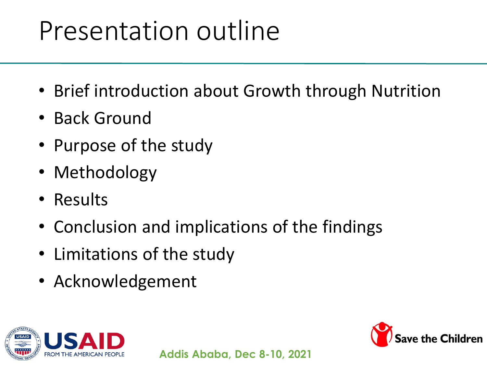# Presentation outline

- Brief introduction about Growth through Nutrition
- Back Ground
- Purpose of the study
- Methodology
- Results
- Conclusion and implications of the findings
- Limitations of the study
- Acknowledgement



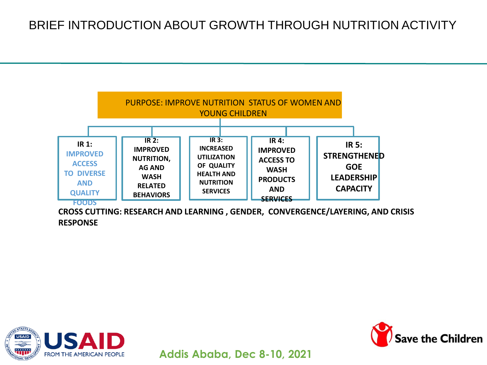

**CROSS CUTTING: RESEARCH AND LEARNING , GENDER, CONVERGENCE/LAYERING, AND CRISIS RESPONSE** 



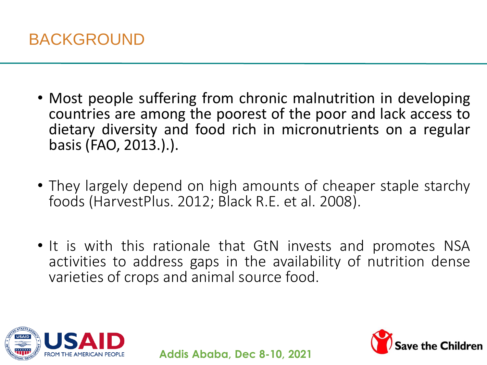

- Most people suffering from chronic malnutrition in developing countries are among the poorest of the poor and lack access to dietary diversity and food rich in micronutrients on a regular basis (FAO, 2013.).).
- They largely depend on high amounts of cheaper staple starchy foods (HarvestPlus. 2012; Black R.E. et al. 2008).
- It is with this rationale that GtN invests and promotes NSA activities to address gaps in the availability of nutrition dense varieties of crops and animal source food.



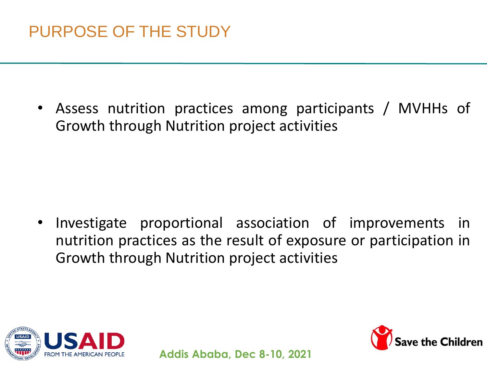• Assess nutrition practices among participants / MVHHs of Growth through Nutrition project activities

• Investigate proportional association of improvements in nutrition practices as the result of exposure or participation in Growth through Nutrition project activities



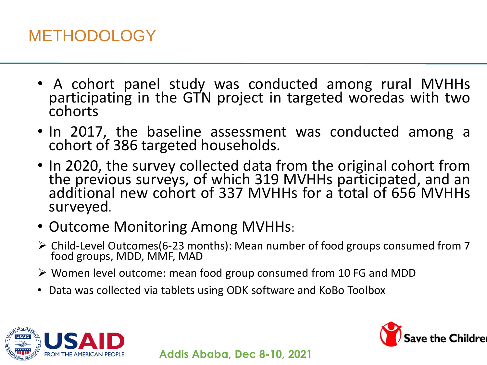### METHODOLOGY

- A cohort panel study was conducted among rural MVHHs participating in the GTN project in targeted woredas with two cohorts
- In 2017, the baseline assessment was conducted among a cohort of 386 targeted households.
- In 2020, the survey collected data from the original cohort from the previous surveys, of which 319 MVHHs participated, and an additional new cohort of 337 MVHHs for a total of 656 MVHHs surveyed.
- Outcome Monitoring Among MVHHs:
- Child-Level Outcomes(6-23 months): Mean number of food groups consumed from 7 food groups, MDD, MMF, MAD
- $\triangleright$  Women level outcome: mean food group consumed from 10 FG and MDD
- Data was collected via tablets using ODK software and KoBo Toolbox



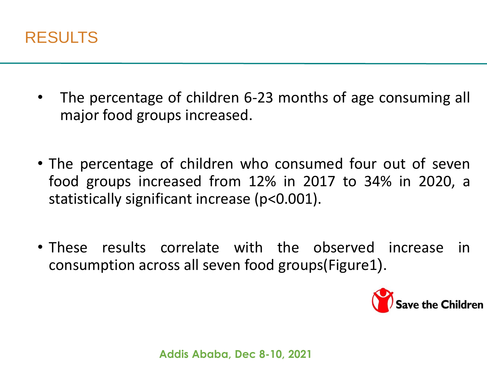

- The percentage of children 6-23 months of age consuming all major food groups increased.
- The percentage of children who consumed four out of seven food groups increased from 12% in 2017 to 34% in 2020, a statistically significant increase (p<0.001).
- These results correlate with the observed increase in consumption across all seven food groups(Figure1).

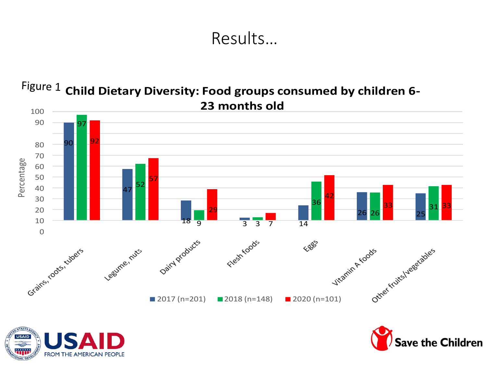#### Results…

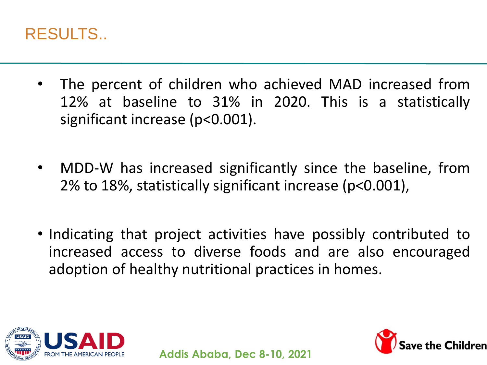

- The percent of children who achieved MAD increased from 12% at baseline to 31% in 2020. This is a statistically significant increase (p<0.001).
- MDD-W has increased significantly since the baseline, from 2% to 18%, statistically significant increase (p<0.001),
- Indicating that project activities have possibly contributed to increased access to diverse foods and are also encouraged adoption of healthy nutritional practices in homes.



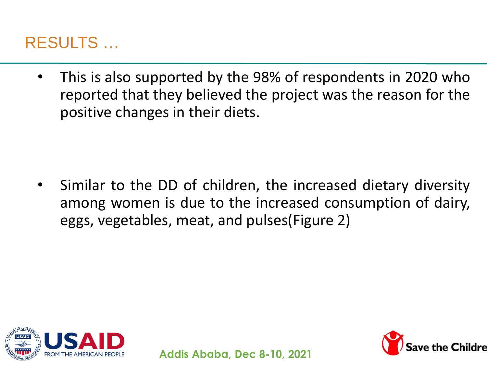#### RESULTS …

• This is also supported by the 98% of respondents in 2020 who reported that they believed the project was the reason for the positive changes in their diets.

Similar to the DD of children, the increased dietary diversity among women is due to the increased consumption of dairy, eggs, vegetables, meat, and pulses(Figure 2)



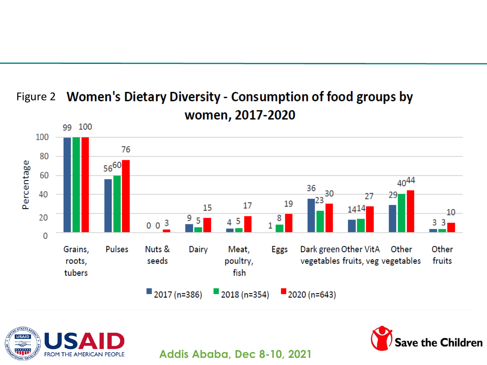

#### Figure 2 Women's Dietary Diversity - Consumption of food groups by women, 2017-2020



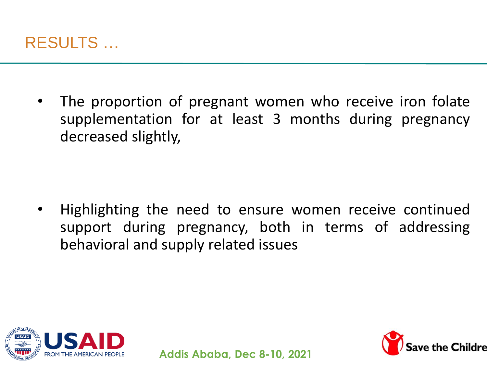

The proportion of pregnant women who receive iron folate supplementation for at least 3 months during pregnancy decreased slightly,

• Highlighting the need to ensure women receive continued support during pregnancy, both in terms of addressing behavioral and supply related issues